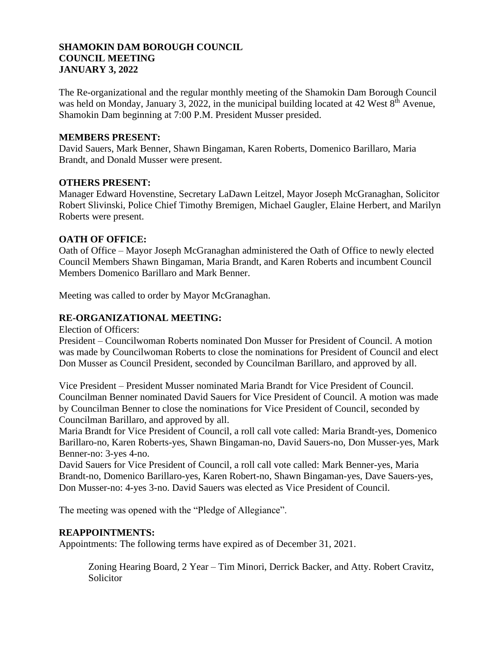## **SHAMOKIN DAM BOROUGH COUNCIL COUNCIL MEETING JANUARY 3, 2022**

The Re-organizational and the regular monthly meeting of the Shamokin Dam Borough Council was held on Monday, January 3, 2022, in the municipal building located at 42 West 8<sup>th</sup> Avenue, Shamokin Dam beginning at 7:00 P.M. President Musser presided.

## **MEMBERS PRESENT:**

David Sauers, Mark Benner, Shawn Bingaman, Karen Roberts, Domenico Barillaro, Maria Brandt, and Donald Musser were present.

## **OTHERS PRESENT:**

Manager Edward Hovenstine, Secretary LaDawn Leitzel, Mayor Joseph McGranaghan, Solicitor Robert Slivinski, Police Chief Timothy Bremigen, Michael Gaugler, Elaine Herbert, and Marilyn Roberts were present.

# **OATH OF OFFICE:**

Oath of Office – Mayor Joseph McGranaghan administered the Oath of Office to newly elected Council Members Shawn Bingaman, Maria Brandt, and Karen Roberts and incumbent Council Members Domenico Barillaro and Mark Benner.

Meeting was called to order by Mayor McGranaghan.

## **RE-ORGANIZATIONAL MEETING:**

Election of Officers:

President – Councilwoman Roberts nominated Don Musser for President of Council. A motion was made by Councilwoman Roberts to close the nominations for President of Council and elect Don Musser as Council President, seconded by Councilman Barillaro, and approved by all.

Vice President – President Musser nominated Maria Brandt for Vice President of Council. Councilman Benner nominated David Sauers for Vice President of Council. A motion was made by Councilman Benner to close the nominations for Vice President of Council, seconded by Councilman Barillaro, and approved by all.

Maria Brandt for Vice President of Council, a roll call vote called: Maria Brandt-yes, Domenico Barillaro-no, Karen Roberts-yes, Shawn Bingaman-no, David Sauers-no, Don Musser-yes, Mark Benner-no: 3-yes 4-no.

David Sauers for Vice President of Council, a roll call vote called: Mark Benner-yes, Maria Brandt-no, Domenico Barillaro-yes, Karen Robert-no, Shawn Bingaman-yes, Dave Sauers-yes, Don Musser-no: 4-yes 3-no. David Sauers was elected as Vice President of Council.

The meeting was opened with the "Pledge of Allegiance".

#### **REAPPOINTMENTS:**

Appointments: The following terms have expired as of December 31, 2021.

Zoning Hearing Board, 2 Year – Tim Minori, Derrick Backer, and Atty. Robert Cravitz, **Solicitor**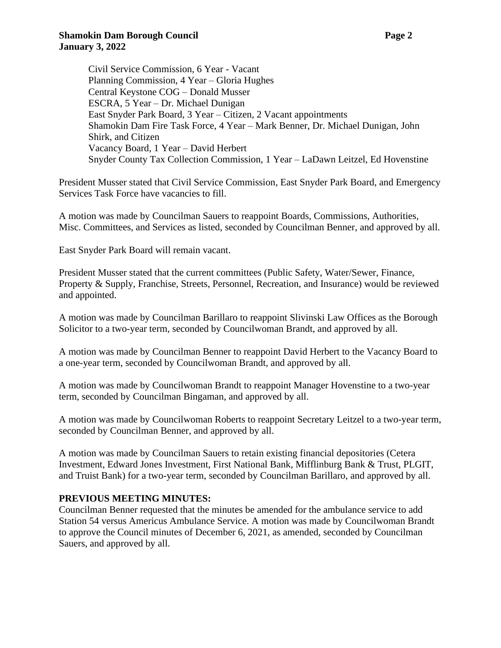## **Shamokin Dam Borough Council Page 2 January 3, 2022**

Civil Service Commission, 6 Year - Vacant Planning Commission, 4 Year – Gloria Hughes Central Keystone COG – Donald Musser ESCRA, 5 Year – Dr. Michael Dunigan East Snyder Park Board, 3 Year – Citizen, 2 Vacant appointments Shamokin Dam Fire Task Force, 4 Year – Mark Benner, Dr. Michael Dunigan, John Shirk, and Citizen Vacancy Board, 1 Year – David Herbert Snyder County Tax Collection Commission, 1 Year – LaDawn Leitzel, Ed Hovenstine

President Musser stated that Civil Service Commission, East Snyder Park Board, and Emergency Services Task Force have vacancies to fill.

A motion was made by Councilman Sauers to reappoint Boards, Commissions, Authorities, Misc. Committees, and Services as listed, seconded by Councilman Benner, and approved by all.

East Snyder Park Board will remain vacant.

President Musser stated that the current committees (Public Safety, Water/Sewer, Finance, Property & Supply, Franchise, Streets, Personnel, Recreation, and Insurance) would be reviewed and appointed.

A motion was made by Councilman Barillaro to reappoint Slivinski Law Offices as the Borough Solicitor to a two-year term, seconded by Councilwoman Brandt, and approved by all.

A motion was made by Councilman Benner to reappoint David Herbert to the Vacancy Board to a one-year term, seconded by Councilwoman Brandt, and approved by all.

A motion was made by Councilwoman Brandt to reappoint Manager Hovenstine to a two-year term, seconded by Councilman Bingaman, and approved by all.

A motion was made by Councilwoman Roberts to reappoint Secretary Leitzel to a two-year term, seconded by Councilman Benner, and approved by all.

A motion was made by Councilman Sauers to retain existing financial depositories (Cetera Investment, Edward Jones Investment, First National Bank, Mifflinburg Bank & Trust, PLGIT, and Truist Bank) for a two-year term, seconded by Councilman Barillaro, and approved by all.

# **PREVIOUS MEETING MINUTES:**

Councilman Benner requested that the minutes be amended for the ambulance service to add Station 54 versus Americus Ambulance Service. A motion was made by Councilwoman Brandt to approve the Council minutes of December 6, 2021, as amended, seconded by Councilman Sauers, and approved by all.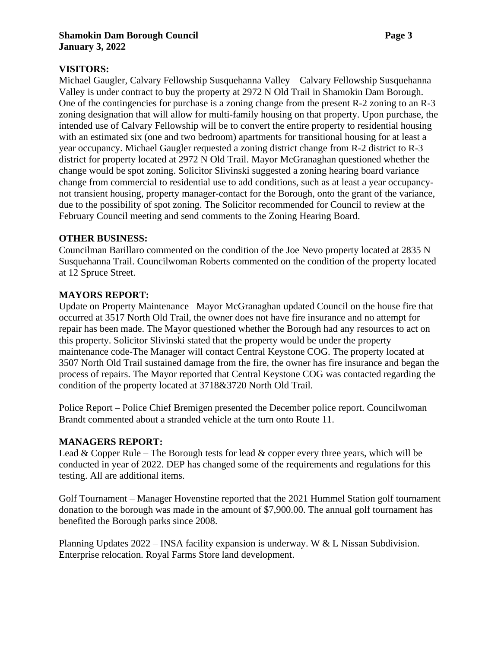## **Shamokin Dam Borough Council Page 3 January 3, 2022**

## **VISITORS:**

Michael Gaugler, Calvary Fellowship Susquehanna Valley – Calvary Fellowship Susquehanna Valley is under contract to buy the property at 2972 N Old Trail in Shamokin Dam Borough. One of the contingencies for purchase is a zoning change from the present R-2 zoning to an R-3 zoning designation that will allow for multi-family housing on that property. Upon purchase, the intended use of Calvary Fellowship will be to convert the entire property to residential housing with an estimated six (one and two bedroom) apartments for transitional housing for at least a year occupancy. Michael Gaugler requested a zoning district change from R-2 district to R-3 district for property located at 2972 N Old Trail. Mayor McGranaghan questioned whether the change would be spot zoning. Solicitor Slivinski suggested a zoning hearing board variance change from commercial to residential use to add conditions, such as at least a year occupancynot transient housing, property manager-contact for the Borough, onto the grant of the variance, due to the possibility of spot zoning. The Solicitor recommended for Council to review at the February Council meeting and send comments to the Zoning Hearing Board.

## **OTHER BUSINESS:**

Councilman Barillaro commented on the condition of the Joe Nevo property located at 2835 N Susquehanna Trail. Councilwoman Roberts commented on the condition of the property located at 12 Spruce Street.

## **MAYORS REPORT:**

Update on Property Maintenance –Mayor McGranaghan updated Council on the house fire that occurred at 3517 North Old Trail, the owner does not have fire insurance and no attempt for repair has been made. The Mayor questioned whether the Borough had any resources to act on this property. Solicitor Slivinski stated that the property would be under the property maintenance code-The Manager will contact Central Keystone COG. The property located at 3507 North Old Trail sustained damage from the fire, the owner has fire insurance and began the process of repairs. The Mayor reported that Central Keystone COG was contacted regarding the condition of the property located at 3718&3720 North Old Trail.

Police Report – Police Chief Bremigen presented the December police report. Councilwoman Brandt commented about a stranded vehicle at the turn onto Route 11.

#### **MANAGERS REPORT:**

Lead & Copper Rule – The Borough tests for lead & copper every three years, which will be conducted in year of 2022. DEP has changed some of the requirements and regulations for this testing. All are additional items.

Golf Tournament – Manager Hovenstine reported that the 2021 Hummel Station golf tournament donation to the borough was made in the amount of \$7,900.00. The annual golf tournament has benefited the Borough parks since 2008.

Planning Updates  $2022 -$  INSA facility expansion is underway. W & L Nissan Subdivision. Enterprise relocation. Royal Farms Store land development.